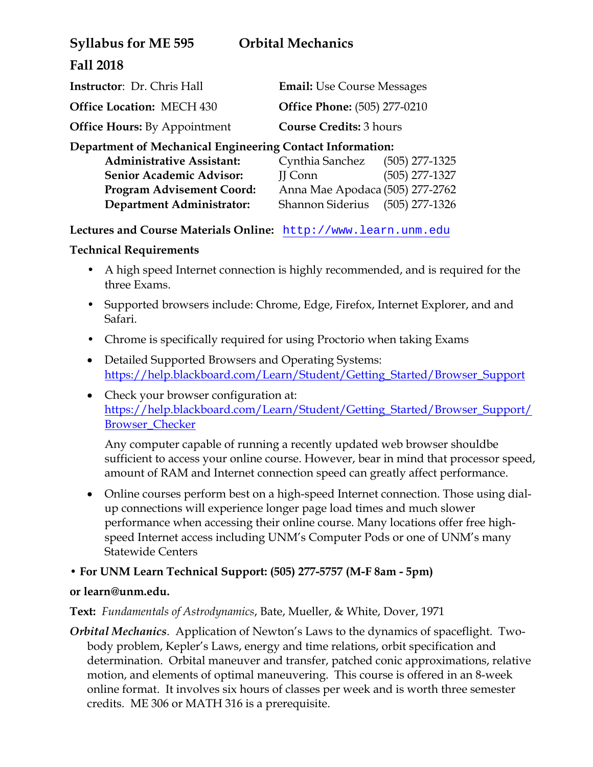| <b>Orbital Mechanics</b>            |
|-------------------------------------|
|                                     |
| <b>Email:</b> Use Course Messages   |
| <b>Office Phone:</b> (505) 277-0210 |
|                                     |

**Office Hours:** By Appointment **Course Credits:** 3 hours

## **Department of Mechanical Engineering Contact Information:**

| Cynthia Sanchez                 | $(505)$ 277-1325 |
|---------------------------------|------------------|
| II Conn                         | $(505)$ 277-1327 |
| Anna Mae Apodaca (505) 277-2762 |                  |
| <b>Shannon Siderius</b>         | (505) 277-1326   |
|                                 |                  |

**Lectures and Course Materials Online:** http://www.learn.unm.edu

## **Technical Requirements**

- A high speed Internet connection is highly recommended, and is required for the three Exams.
- Supported browsers include: Chrome, Edge, Firefox, Internet Explorer, and and Safari.
- Chrome is specifically required for using Proctorio when taking Exams
- Detailed Supported Browsers and Operating Systems: https://help.blackboard.com/Learn/Student/Getting\_Started/Browser\_Support
- Check your browser configuration at: https://help.blackboard.com/Learn/Student/Getting\_Started/Browser\_Support/ Browser\_Checker

Any computer capable of running a recently updated web browser shouldbe sufficient to access your online course. However, bear in mind that processor speed, amount of RAM and Internet connection speed can greatly affect performance.

 Online courses perform best on a high-speed Internet connection. Those using dialup connections will experience longer page load times and much slower performance when accessing their online course. Many locations offer free highspeed Internet access including UNM's Computer Pods or one of UNM's many Statewide Centers

# **• For UNM Learn Technical Support: (505) 277-5757 (M-F 8am - 5pm)**

# **or learn@unm.edu.**

**Text:** *Fundamentals of Astrodynamics*, Bate, Mueller, & White, Dover, 1971

*Orbital Mechanics*. Application of Newton's Laws to the dynamics of spaceflight. Twobody problem, Kepler's Laws, energy and time relations, orbit specification and determination. Orbital maneuver and transfer, patched conic approximations, relative motion, and elements of optimal maneuvering. This course is offered in an 8-week online format. It involves six hours of classes per week and is worth three semester credits. ME 306 or MATH 316 is a prerequisite.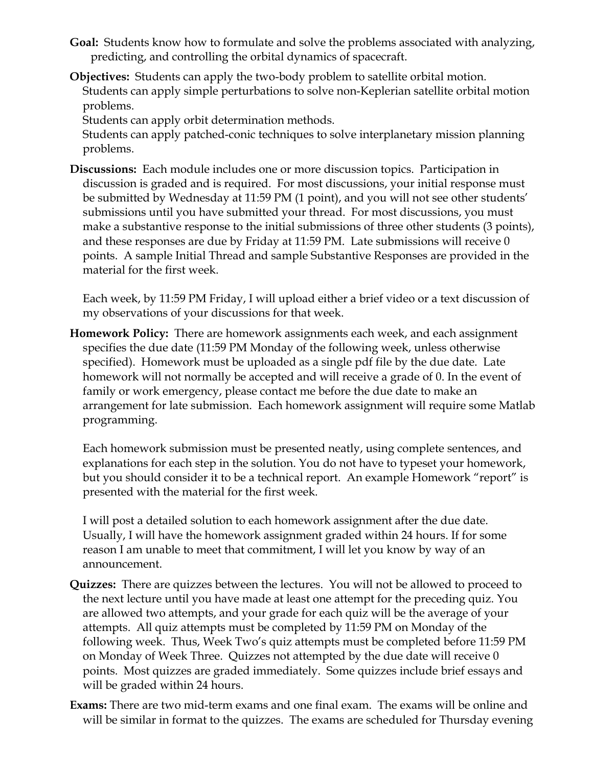- **Goal:** Students know how to formulate and solve the problems associated with analyzing, predicting, and controlling the orbital dynamics of spacecraft.
- **Objectives:** Students can apply the two-body problem to satellite orbital motion. Students can apply simple perturbations to solve non-Keplerian satellite orbital motion problems.

Students can apply orbit determination methods.

Students can apply patched-conic techniques to solve interplanetary mission planning problems.

**Discussions:** Each module includes one or more discussion topics. Participation in discussion is graded and is required. For most discussions, your initial response must be submitted by Wednesday at 11:59 PM (1 point), and you will not see other students' submissions until you have submitted your thread. For most discussions, you must make a substantive response to the initial submissions of three other students (3 points), and these responses are due by Friday at 11:59 PM. Late submissions will receive 0 points. A sample Initial Thread and sample Substantive Responses are provided in the material for the first week.

Each week, by 11:59 PM Friday, I will upload either a brief video or a text discussion of my observations of your discussions for that week.

**Homework Policy:** There are homework assignments each week, and each assignment specifies the due date (11:59 PM Monday of the following week, unless otherwise specified). Homework must be uploaded as a single pdf file by the due date. Late homework will not normally be accepted and will receive a grade of 0. In the event of family or work emergency, please contact me before the due date to make an arrangement for late submission. Each homework assignment will require some Matlab programming.

Each homework submission must be presented neatly, using complete sentences, and explanations for each step in the solution. You do not have to typeset your homework, but you should consider it to be a technical report. An example Homework "report" is presented with the material for the first week.

I will post a detailed solution to each homework assignment after the due date. Usually, I will have the homework assignment graded within 24 hours. If for some reason I am unable to meet that commitment, I will let you know by way of an announcement.

- **Quizzes:** There are quizzes between the lectures. You will not be allowed to proceed to the next lecture until you have made at least one attempt for the preceding quiz. You are allowed two attempts, and your grade for each quiz will be the average of your attempts. All quiz attempts must be completed by 11:59 PM on Monday of the following week. Thus, Week Two's quiz attempts must be completed before 11:59 PM on Monday of Week Three. Quizzes not attempted by the due date will receive 0 points. Most quizzes are graded immediately. Some quizzes include brief essays and will be graded within 24 hours.
- **Exams:** There are two mid-term exams and one final exam. The exams will be online and will be similar in format to the quizzes. The exams are scheduled for Thursday evening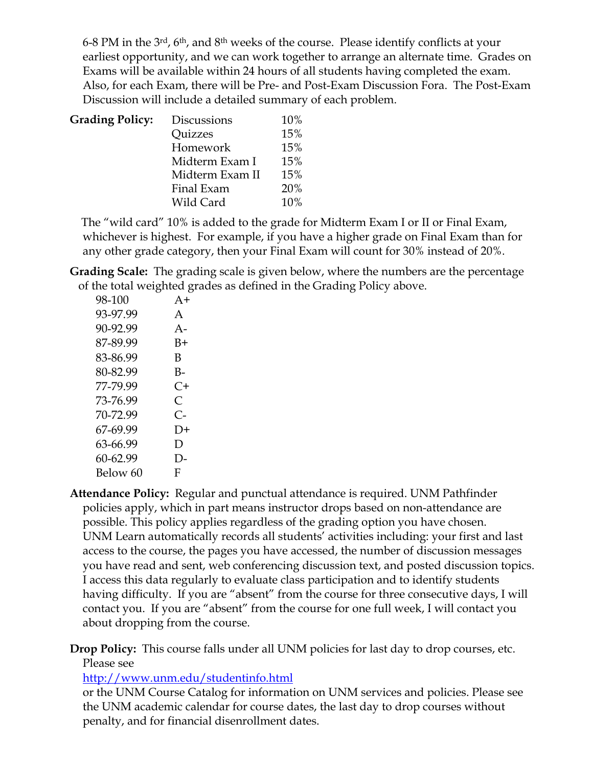6-8 PM in the  $3^{rd}$ , 6<sup>th</sup>, and  $8^{th}$  weeks of the course. Please identify conflicts at your earliest opportunity, and we can work together to arrange an alternate time. Grades on Exams will be available within 24 hours of all students having completed the exam. Also, for each Exam, there will be Pre- and Post-Exam Discussion Fora. The Post-Exam Discussion will include a detailed summary of each problem.

| <b>Grading Policy:</b> | <b>Discussions</b> | 10% |
|------------------------|--------------------|-----|
|                        | Quizzes            | 15% |
|                        | Homework           | 15% |
|                        | Midterm Exam I     | 15% |
|                        | Midterm Exam II    | 15% |
|                        | Final Exam         | 20% |
|                        | Wild Card          | 10% |

 The "wild card" 10% is added to the grade for Midterm Exam I or II or Final Exam, whichever is highest. For example, if you have a higher grade on Final Exam than for any other grade category, then your Final Exam will count for 30% instead of 20%.

**Grading Scale:** The grading scale is given below, where the numbers are the percentage of the total weighted grades as defined in the Grading Policy above.

| 98-100   | $A+$      |
|----------|-----------|
| 93-97.99 | A         |
| 90-92.99 | $A -$     |
| 87-89.99 | B+        |
| 83-86.99 | В         |
| 80-82.99 | $B-$      |
| 77-79.99 | C+        |
| 73-76.99 | $\subset$ |
| 70-72 99 | C-        |
| 67-69.99 | 1         |
| 63-66.99 | D         |
| 60-62.99 | D-        |
| Below 60 | F         |

**Attendance Policy:** Regular and punctual attendance is required. UNM Pathfinder policies apply, which in part means instructor drops based on non-attendance are possible. This policy applies regardless of the grading option you have chosen. UNM Learn automatically records all students' activities including: your first and last access to the course, the pages you have accessed, the number of discussion messages you have read and sent, web conferencing discussion text, and posted discussion topics. I access this data regularly to evaluate class participation and to identify students having difficulty. If you are "absent" from the course for three consecutive days, I will contact you. If you are "absent" from the course for one full week, I will contact you about dropping from the course.

**Drop Policy:** This course falls under all UNM policies for last day to drop courses, etc. Please see

http://www.unm.edu/studentinfo.html

or the UNM Course Catalog for information on UNM services and policies. Please see the UNM academic calendar for course dates, the last day to drop courses without penalty, and for financial disenrollment dates.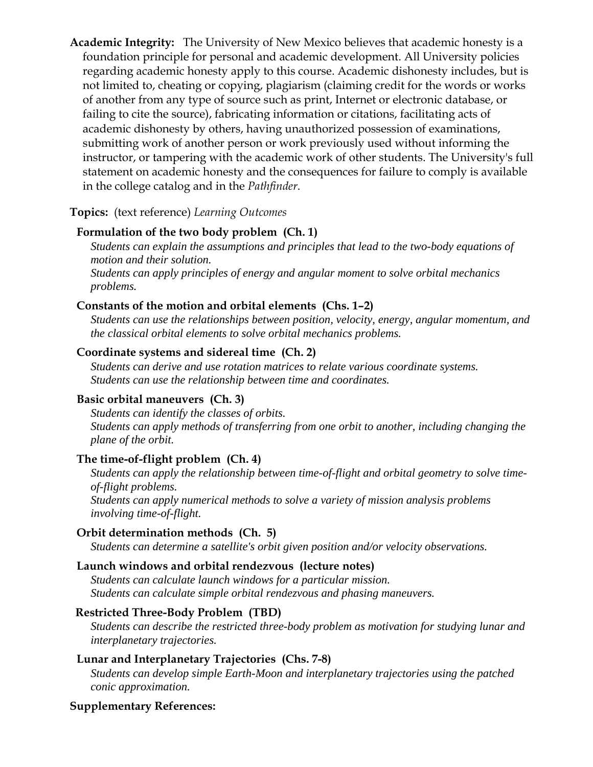**Academic Integrity:** The University of New Mexico believes that academic honesty is a foundation principle for personal and academic development. All University policies regarding academic honesty apply to this course. Academic dishonesty includes, but is not limited to, cheating or copying, plagiarism (claiming credit for the words or works of another from any type of source such as print, Internet or electronic database, or failing to cite the source), fabricating information or citations, facilitating acts of academic dishonesty by others, having unauthorized possession of examinations, submitting work of another person or work previously used without informing the instructor, or tampering with the academic work of other students. The University's full statement on academic honesty and the consequences for failure to comply is available in the college catalog and in the *Pathfinder*.

## **Topics:** (text reference) *Learning Outcomes*

#### **Formulation of the two body problem (Ch. 1)**

*Students can explain the assumptions and principles that lead to the two-body equations of motion and their solution. Students can apply principles of energy and angular moment to solve orbital mechanics problems.* 

#### **Constants of the motion and orbital elements (Chs. 1–2)**

*Students can use the relationships between position, velocity, energy, angular momentum, and the classical orbital elements to solve orbital mechanics problems.* 

## **Coordinate systems and sidereal time (Ch. 2)**

*Students can derive and use rotation matrices to relate various coordinate systems. Students can use the relationship between time and coordinates.* 

#### **Basic orbital maneuvers (Ch. 3)**

*Students can identify the classes of orbits. Students can apply methods of transferring from one orbit to another, including changing the plane of the orbit.* 

#### **The time-of-flight problem (Ch. 4)**

*Students can apply the relationship between time-of-flight and orbital geometry to solve timeof-flight problems.* 

*Students can apply numerical methods to solve a variety of mission analysis problems involving time-of-flight.* 

## **Orbit determination methods (Ch. 5)**

*Students can determine a satellite's orbit given position and/or velocity observations.* 

## **Launch windows and orbital rendezvous (lecture notes)**

*Students can calculate launch windows for a particular mission. Students can calculate simple orbital rendezvous and phasing maneuvers.* 

#### **Restricted Three-Body Problem (TBD)**

*Students can describe the restricted three-body problem as motivation for studying lunar and interplanetary trajectories.* 

#### **Lunar and Interplanetary Trajectories (Chs. 7-8)**

*Students can develop simple Earth-Moon and interplanetary trajectories using the patched conic approximation.* 

#### **Supplementary References:**